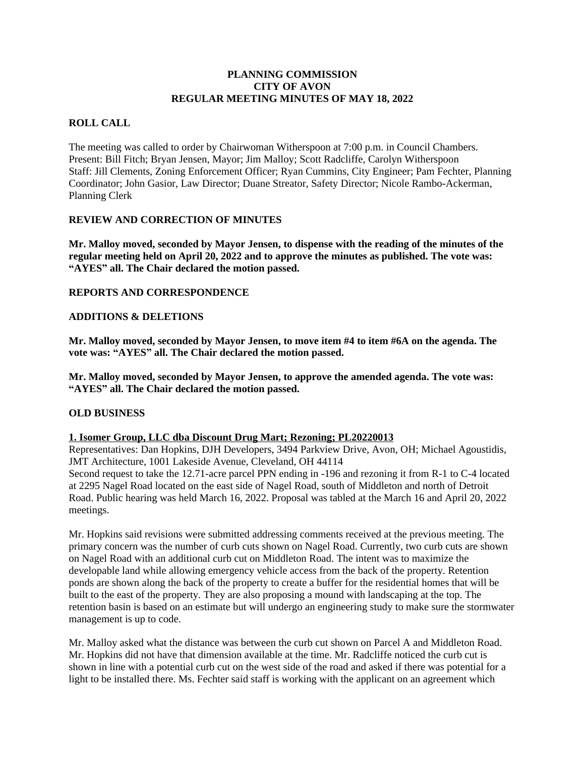# **PLANNING COMMISSION CITY OF AVON REGULAR MEETING MINUTES OF MAY 18, 2022**

# **ROLL CALL**

The meeting was called to order by Chairwoman Witherspoon at 7:00 p.m. in Council Chambers. Present: Bill Fitch; Bryan Jensen, Mayor; Jim Malloy; Scott Radcliffe, Carolyn Witherspoon Staff: Jill Clements, Zoning Enforcement Officer; Ryan Cummins, City Engineer; Pam Fechter, Planning Coordinator; John Gasior, Law Director; Duane Streator, Safety Director; Nicole Rambo-Ackerman, Planning Clerk

#### **REVIEW AND CORRECTION OF MINUTES**

**Mr. Malloy moved, seconded by Mayor Jensen, to dispense with the reading of the minutes of the regular meeting held on April 20, 2022 and to approve the minutes as published. The vote was: "AYES" all. The Chair declared the motion passed.**

#### **REPORTS AND CORRESPONDENCE**

#### **ADDITIONS & DELETIONS**

**Mr. Malloy moved, seconded by Mayor Jensen, to move item #4 to item #6A on the agenda. The vote was: "AYES" all. The Chair declared the motion passed.**

**Mr. Malloy moved, seconded by Mayor Jensen, to approve the amended agenda. The vote was: "AYES" all. The Chair declared the motion passed.**

# **OLD BUSINESS**

#### **1. Isomer Group, LLC dba Discount Drug Mart; Rezoning; PL20220013**

Representatives: Dan Hopkins, DJH Developers, 3494 Parkview Drive, Avon, OH; Michael Agoustidis, JMT Architecture, 1001 Lakeside Avenue, Cleveland, OH 44114 Second request to take the 12.71-acre parcel PPN ending in -196 and rezoning it from R-1 to C-4 located at 2295 Nagel Road located on the east side of Nagel Road, south of Middleton and north of Detroit Road. Public hearing was held March 16, 2022. Proposal was tabled at the March 16 and April 20, 2022 meetings.

Mr. Hopkins said revisions were submitted addressing comments received at the previous meeting. The primary concern was the number of curb cuts shown on Nagel Road. Currently, two curb cuts are shown on Nagel Road with an additional curb cut on Middleton Road. The intent was to maximize the developable land while allowing emergency vehicle access from the back of the property. Retention ponds are shown along the back of the property to create a buffer for the residential homes that will be built to the east of the property. They are also proposing a mound with landscaping at the top. The retention basin is based on an estimate but will undergo an engineering study to make sure the stormwater management is up to code.

Mr. Malloy asked what the distance was between the curb cut shown on Parcel A and Middleton Road. Mr. Hopkins did not have that dimension available at the time. Mr. Radcliffe noticed the curb cut is shown in line with a potential curb cut on the west side of the road and asked if there was potential for a light to be installed there. Ms. Fechter said staff is working with the applicant on an agreement which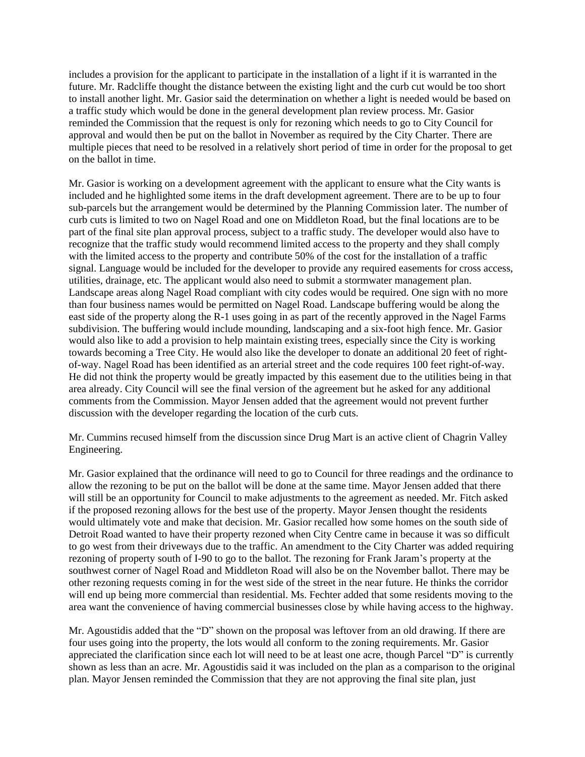includes a provision for the applicant to participate in the installation of a light if it is warranted in the future. Mr. Radcliffe thought the distance between the existing light and the curb cut would be too short to install another light. Mr. Gasior said the determination on whether a light is needed would be based on a traffic study which would be done in the general development plan review process. Mr. Gasior reminded the Commission that the request is only for rezoning which needs to go to City Council for approval and would then be put on the ballot in November as required by the City Charter. There are multiple pieces that need to be resolved in a relatively short period of time in order for the proposal to get on the ballot in time.

Mr. Gasior is working on a development agreement with the applicant to ensure what the City wants is included and he highlighted some items in the draft development agreement. There are to be up to four sub-parcels but the arrangement would be determined by the Planning Commission later. The number of curb cuts is limited to two on Nagel Road and one on Middleton Road, but the final locations are to be part of the final site plan approval process, subject to a traffic study. The developer would also have to recognize that the traffic study would recommend limited access to the property and they shall comply with the limited access to the property and contribute 50% of the cost for the installation of a traffic signal. Language would be included for the developer to provide any required easements for cross access, utilities, drainage, etc. The applicant would also need to submit a stormwater management plan. Landscape areas along Nagel Road compliant with city codes would be required. One sign with no more than four business names would be permitted on Nagel Road. Landscape buffering would be along the east side of the property along the R-1 uses going in as part of the recently approved in the Nagel Farms subdivision. The buffering would include mounding, landscaping and a six-foot high fence. Mr. Gasior would also like to add a provision to help maintain existing trees, especially since the City is working towards becoming a Tree City. He would also like the developer to donate an additional 20 feet of rightof-way. Nagel Road has been identified as an arterial street and the code requires 100 feet right-of-way. He did not think the property would be greatly impacted by this easement due to the utilities being in that area already. City Council will see the final version of the agreement but he asked for any additional comments from the Commission. Mayor Jensen added that the agreement would not prevent further discussion with the developer regarding the location of the curb cuts.

Mr. Cummins recused himself from the discussion since Drug Mart is an active client of Chagrin Valley Engineering.

Mr. Gasior explained that the ordinance will need to go to Council for three readings and the ordinance to allow the rezoning to be put on the ballot will be done at the same time. Mayor Jensen added that there will still be an opportunity for Council to make adjustments to the agreement as needed. Mr. Fitch asked if the proposed rezoning allows for the best use of the property. Mayor Jensen thought the residents would ultimately vote and make that decision. Mr. Gasior recalled how some homes on the south side of Detroit Road wanted to have their property rezoned when City Centre came in because it was so difficult to go west from their driveways due to the traffic. An amendment to the City Charter was added requiring rezoning of property south of I-90 to go to the ballot. The rezoning for Frank Jaram's property at the southwest corner of Nagel Road and Middleton Road will also be on the November ballot. There may be other rezoning requests coming in for the west side of the street in the near future. He thinks the corridor will end up being more commercial than residential. Ms. Fechter added that some residents moving to the area want the convenience of having commercial businesses close by while having access to the highway.

Mr. Agoustidis added that the "D" shown on the proposal was leftover from an old drawing. If there are four uses going into the property, the lots would all conform to the zoning requirements. Mr. Gasior appreciated the clarification since each lot will need to be at least one acre, though Parcel "D" is currently shown as less than an acre. Mr. Agoustidis said it was included on the plan as a comparison to the original plan. Mayor Jensen reminded the Commission that they are not approving the final site plan, just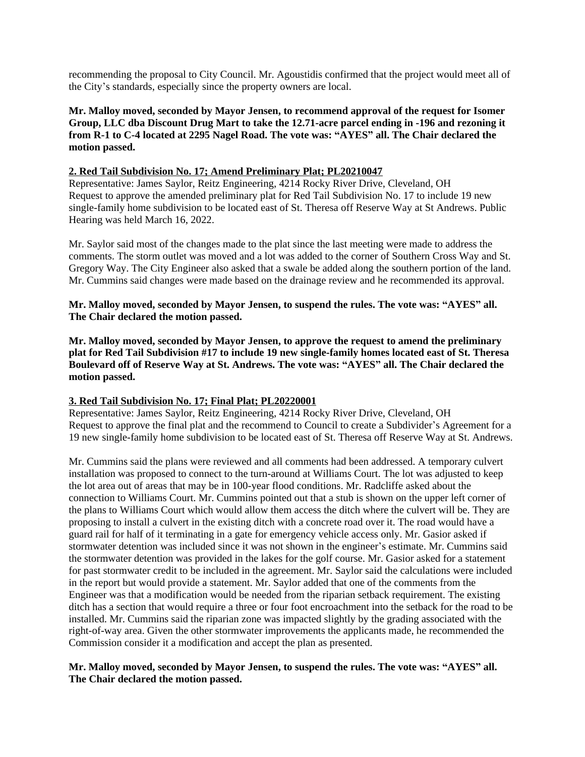recommending the proposal to City Council. Mr. Agoustidis confirmed that the project would meet all of the City's standards, especially since the property owners are local.

**Mr. Malloy moved, seconded by Mayor Jensen, to recommend approval of the request for Isomer Group, LLC dba Discount Drug Mart to take the 12.71-acre parcel ending in -196 and rezoning it from R-1 to C-4 located at 2295 Nagel Road. The vote was: "AYES" all. The Chair declared the motion passed.**

# **2. Red Tail Subdivision No. 17; Amend Preliminary Plat; PL20210047**

 Representative: James Saylor, Reitz Engineering, 4214 Rocky River Drive, Cleveland, OH Request to approve the amended preliminary plat for Red Tail Subdivision No. 17 to include 19 new single-family home subdivision to be located east of St. Theresa off Reserve Way at St Andrews. Public Hearing was held March 16, 2022.

Mr. Saylor said most of the changes made to the plat since the last meeting were made to address the comments. The storm outlet was moved and a lot was added to the corner of Southern Cross Way and St. Gregory Way. The City Engineer also asked that a swale be added along the southern portion of the land. Mr. Cummins said changes were made based on the drainage review and he recommended its approval.

#### **Mr. Malloy moved, seconded by Mayor Jensen, to suspend the rules. The vote was: "AYES" all. The Chair declared the motion passed.**

**Mr. Malloy moved, seconded by Mayor Jensen, to approve the request to amend the preliminary plat for Red Tail Subdivision #17 to include 19 new single-family homes located east of St. Theresa Boulevard off of Reserve Way at St. Andrews. The vote was: "AYES" all. The Chair declared the motion passed.**

#### **3. Red Tail Subdivision No. 17; Final Plat; PL20220001**

Representative: James Saylor, Reitz Engineering, 4214 Rocky River Drive, Cleveland, OH Request to approve the final plat and the recommend to Council to create a Subdivider's Agreement for a 19 new single-family home subdivision to be located east of St. Theresa off Reserve Way at St. Andrews.

Mr. Cummins said the plans were reviewed and all comments had been addressed. A temporary culvert installation was proposed to connect to the turn-around at Williams Court. The lot was adjusted to keep the lot area out of areas that may be in 100-year flood conditions. Mr. Radcliffe asked about the connection to Williams Court. Mr. Cummins pointed out that a stub is shown on the upper left corner of the plans to Williams Court which would allow them access the ditch where the culvert will be. They are proposing to install a culvert in the existing ditch with a concrete road over it. The road would have a guard rail for half of it terminating in a gate for emergency vehicle access only. Mr. Gasior asked if stormwater detention was included since it was not shown in the engineer's estimate. Mr. Cummins said the stormwater detention was provided in the lakes for the golf course. Mr. Gasior asked for a statement for past stormwater credit to be included in the agreement. Mr. Saylor said the calculations were included in the report but would provide a statement. Mr. Saylor added that one of the comments from the Engineer was that a modification would be needed from the riparian setback requirement. The existing ditch has a section that would require a three or four foot encroachment into the setback for the road to be installed. Mr. Cummins said the riparian zone was impacted slightly by the grading associated with the right-of-way area. Given the other stormwater improvements the applicants made, he recommended the Commission consider it a modification and accept the plan as presented.

#### **Mr. Malloy moved, seconded by Mayor Jensen, to suspend the rules. The vote was: "AYES" all. The Chair declared the motion passed.**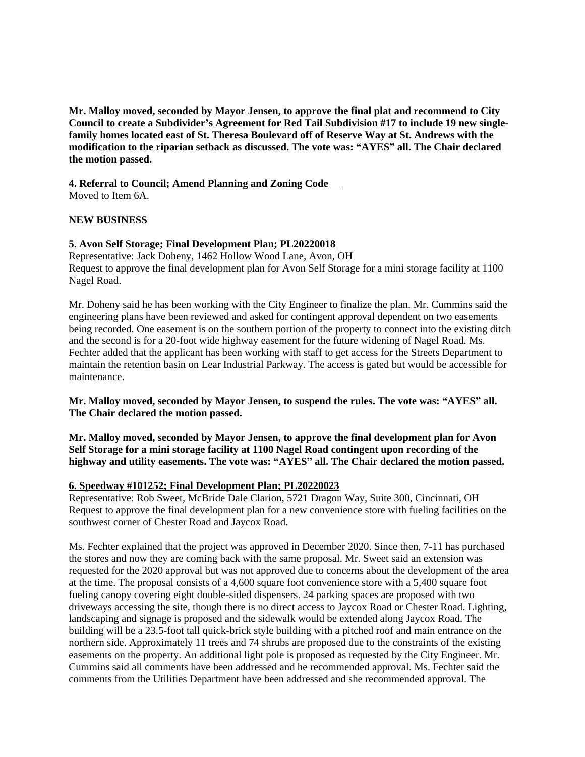**Mr. Malloy moved, seconded by Mayor Jensen, to approve the final plat and recommend to City Council to create a Subdivider's Agreement for Red Tail Subdivision #17 to include 19 new singlefamily homes located east of St. Theresa Boulevard off of Reserve Way at St. Andrews with the modification to the riparian setback as discussed. The vote was: "AYES" all. The Chair declared the motion passed.**

**4. Referral to Council; Amend Planning and Zoning Code**  Moved to Item 6A.

#### **NEW BUSINESS**

#### **5. Avon Self Storage; Final Development Plan; PL20220018**

Representative: Jack Doheny, 1462 Hollow Wood Lane, Avon, OH Request to approve the final development plan for Avon Self Storage for a mini storage facility at 1100 Nagel Road.

Mr. Doheny said he has been working with the City Engineer to finalize the plan. Mr. Cummins said the engineering plans have been reviewed and asked for contingent approval dependent on two easements being recorded. One easement is on the southern portion of the property to connect into the existing ditch and the second is for a 20-foot wide highway easement for the future widening of Nagel Road. Ms. Fechter added that the applicant has been working with staff to get access for the Streets Department to maintain the retention basin on Lear Industrial Parkway. The access is gated but would be accessible for maintenance.

**Mr. Malloy moved, seconded by Mayor Jensen, to suspend the rules. The vote was: "AYES" all. The Chair declared the motion passed.**

**Mr. Malloy moved, seconded by Mayor Jensen, to approve the final development plan for Avon Self Storage for a mini storage facility at 1100 Nagel Road contingent upon recording of the highway and utility easements. The vote was: "AYES" all. The Chair declared the motion passed.**

#### **6. Speedway #101252; Final Development Plan; PL20220023**

Representative: Rob Sweet, McBride Dale Clarion, 5721 Dragon Way, Suite 300, Cincinnati, OH Request to approve the final development plan for a new convenience store with fueling facilities on the southwest corner of Chester Road and Jaycox Road.

Ms. Fechter explained that the project was approved in December 2020. Since then, 7-11 has purchased the stores and now they are coming back with the same proposal. Mr. Sweet said an extension was requested for the 2020 approval but was not approved due to concerns about the development of the area at the time. The proposal consists of a 4,600 square foot convenience store with a 5,400 square foot fueling canopy covering eight double-sided dispensers. 24 parking spaces are proposed with two driveways accessing the site, though there is no direct access to Jaycox Road or Chester Road. Lighting, landscaping and signage is proposed and the sidewalk would be extended along Jaycox Road. The building will be a 23.5-foot tall quick-brick style building with a pitched roof and main entrance on the northern side. Approximately 11 trees and 74 shrubs are proposed due to the constraints of the existing easements on the property. An additional light pole is proposed as requested by the City Engineer. Mr. Cummins said all comments have been addressed and he recommended approval. Ms. Fechter said the comments from the Utilities Department have been addressed and she recommended approval. The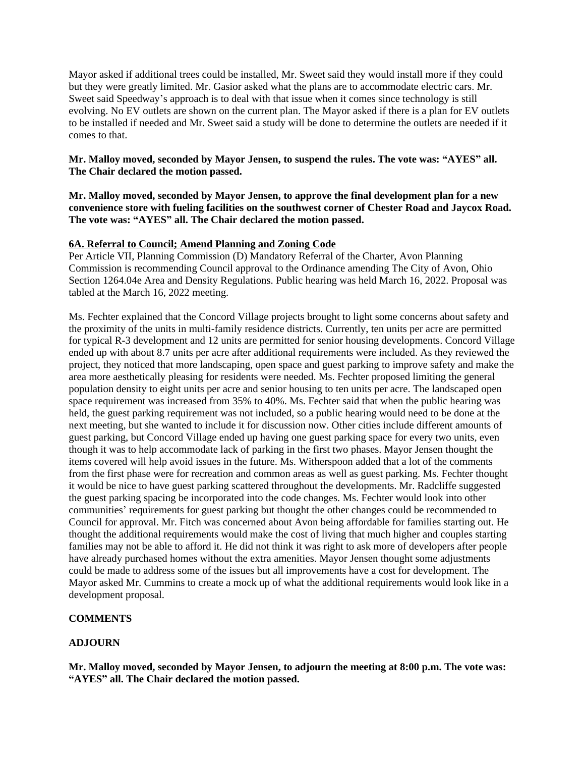Mayor asked if additional trees could be installed, Mr. Sweet said they would install more if they could but they were greatly limited. Mr. Gasior asked what the plans are to accommodate electric cars. Mr. Sweet said Speedway's approach is to deal with that issue when it comes since technology is still evolving. No EV outlets are shown on the current plan. The Mayor asked if there is a plan for EV outlets to be installed if needed and Mr. Sweet said a study will be done to determine the outlets are needed if it comes to that.

# **Mr. Malloy moved, seconded by Mayor Jensen, to suspend the rules. The vote was: "AYES" all. The Chair declared the motion passed.**

#### **Mr. Malloy moved, seconded by Mayor Jensen, to approve the final development plan for a new convenience store with fueling facilities on the southwest corner of Chester Road and Jaycox Road. The vote was: "AYES" all. The Chair declared the motion passed.**

#### **6A. Referral to Council; Amend Planning and Zoning Code**

Per Article VII, Planning Commission (D) Mandatory Referral of the Charter, Avon Planning Commission is recommending Council approval to the Ordinance amending The City of Avon, Ohio Section 1264.04e Area and Density Regulations. Public hearing was held March 16, 2022. Proposal was tabled at the March 16, 2022 meeting.

Ms. Fechter explained that the Concord Village projects brought to light some concerns about safety and the proximity of the units in multi-family residence districts. Currently, ten units per acre are permitted for typical R-3 development and 12 units are permitted for senior housing developments. Concord Village ended up with about 8.7 units per acre after additional requirements were included. As they reviewed the project, they noticed that more landscaping, open space and guest parking to improve safety and make the area more aesthetically pleasing for residents were needed. Ms. Fechter proposed limiting the general population density to eight units per acre and senior housing to ten units per acre. The landscaped open space requirement was increased from 35% to 40%. Ms. Fechter said that when the public hearing was held, the guest parking requirement was not included, so a public hearing would need to be done at the next meeting, but she wanted to include it for discussion now. Other cities include different amounts of guest parking, but Concord Village ended up having one guest parking space for every two units, even though it was to help accommodate lack of parking in the first two phases. Mayor Jensen thought the items covered will help avoid issues in the future. Ms. Witherspoon added that a lot of the comments from the first phase were for recreation and common areas as well as guest parking. Ms. Fechter thought it would be nice to have guest parking scattered throughout the developments. Mr. Radcliffe suggested the guest parking spacing be incorporated into the code changes. Ms. Fechter would look into other communities' requirements for guest parking but thought the other changes could be recommended to Council for approval. Mr. Fitch was concerned about Avon being affordable for families starting out. He thought the additional requirements would make the cost of living that much higher and couples starting families may not be able to afford it. He did not think it was right to ask more of developers after people have already purchased homes without the extra amenities. Mayor Jensen thought some adjustments could be made to address some of the issues but all improvements have a cost for development. The Mayor asked Mr. Cummins to create a mock up of what the additional requirements would look like in a development proposal.

#### **COMMENTS**

#### **ADJOURN**

**Mr. Malloy moved, seconded by Mayor Jensen, to adjourn the meeting at 8:00 p.m. The vote was: "AYES" all. The Chair declared the motion passed.**